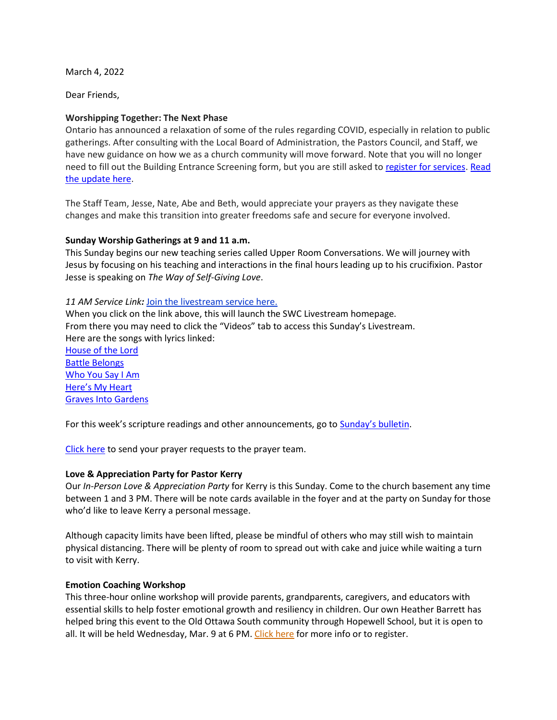March 4, 2022

Dear Friends,

## **Worshipping Together: The Next Phase**

Ontario has announced a relaxation of some of the rules regarding COVID, especially in relation to public gatherings. After consulting with the Local Board of Administration, the Pastors Council, and Staff, we have new guidance on how we as a church community will move forward. Note that you will no longer need to fill out the Building Entrance Screening form, but you are still asked to [register for services.](https://rsvp.church/r/gedIlGjG) [Read](http://www.sunnysidechurch.ca/wp/wp-content/uploads/Worshipping-Together-Mar-4-2022.pdf)  [the update here.](http://www.sunnysidechurch.ca/wp/wp-content/uploads/Worshipping-Together-Mar-4-2022.pdf)

The Staff Team, Jesse, Nate, Abe and Beth, would appreciate your prayers as they navigate these changes and make this transition into greater freedoms safe and secure for everyone involved.

## **Sunday Worship Gatherings at 9 and 11 a.m.**

This Sunday begins our new teaching series called Upper Room Conversations. We will journey with Jesus by focusing on his teaching and interactions in the final hours leading up to his crucifixion. Pastor Jesse is speaking on *The Way of Self-Giving Love*.

#### *11 AM Service Link:* [Join the livestream service here.](https://www.youtube.com/channel/UCYfl9Qy37Az7fqqFQpDEwjg)

When you click on the link above, this will launch the SWC Livestream homepage. From there you may need to click the "Videos" tab to access this Sunday's Livestream. Here are the songs with lyrics linked:

[House of the Lord](https://www.azlyrics.com/lyrics/philwickham/houseofthelord.html) [Battle Belongs](https://www.azlyrics.com/lyrics/philwickham/battlebelongs.html) [Who You Say I Am](https://hillsong.com/lyrics/who-you-say-i-am/) Here['s My Heart](http://www.songlyrics.com/passion/here-s-my-heart-feat-crowder-lyrics/) [Graves Into Gardens](https://www.azlyrics.com/lyrics/elevationworship/gravesintogardens.html)

For this week's scripture readings and other announcements, go t[o Sunday's bulletin](http://www.sunnysidechurch.ca/wp/wp-content/uploads/20220306.pdf).

[Click here](mailto:prayer@sunnysidechurch.ca) to send your prayer requests to the prayer team.

#### **Love & Appreciation Party for Pastor Kerry**

Our *In-Person Love & Appreciation Party* for Kerry is this Sunday. Come to the church basement any time between 1 and 3 PM. There will be note cards available in the foyer and at the party on Sunday for those who'd like to leave Kerry a personal message.

Although capacity limits have been lifted, please be mindful of others who may still wish to maintain physical distancing. There will be plenty of room to spread out with cake and juice while waiting a turn to visit with Kerry.

#### **Emotion Coaching Workshop**

This three-hour online workshop will provide parents, grandparents, caregivers, and educators with essential skills to help foster emotional growth and resiliency in children. Our own Heather Barrett has helped bring this event to the Old Ottawa South community through Hopewell School, but it is open to all. It will be held Wednesday, Mar. 9 at 6 PM. [Click here](https://www.eventbrite.com/e/emotion-coaching-workshop-tickets-265388182197) for more info or to register.